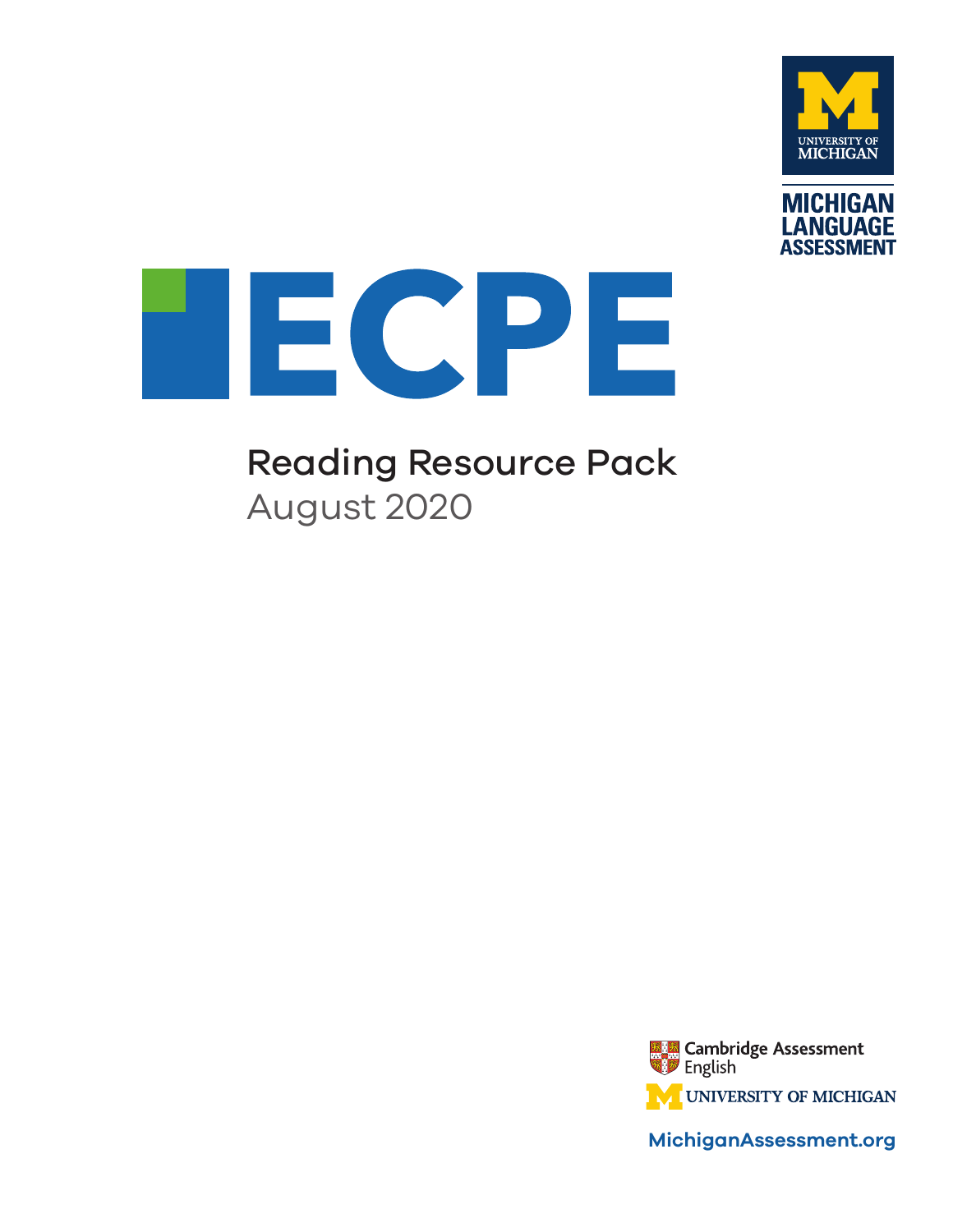



# Reading Resource Pack

August 2020



**MichiganAssessment.org**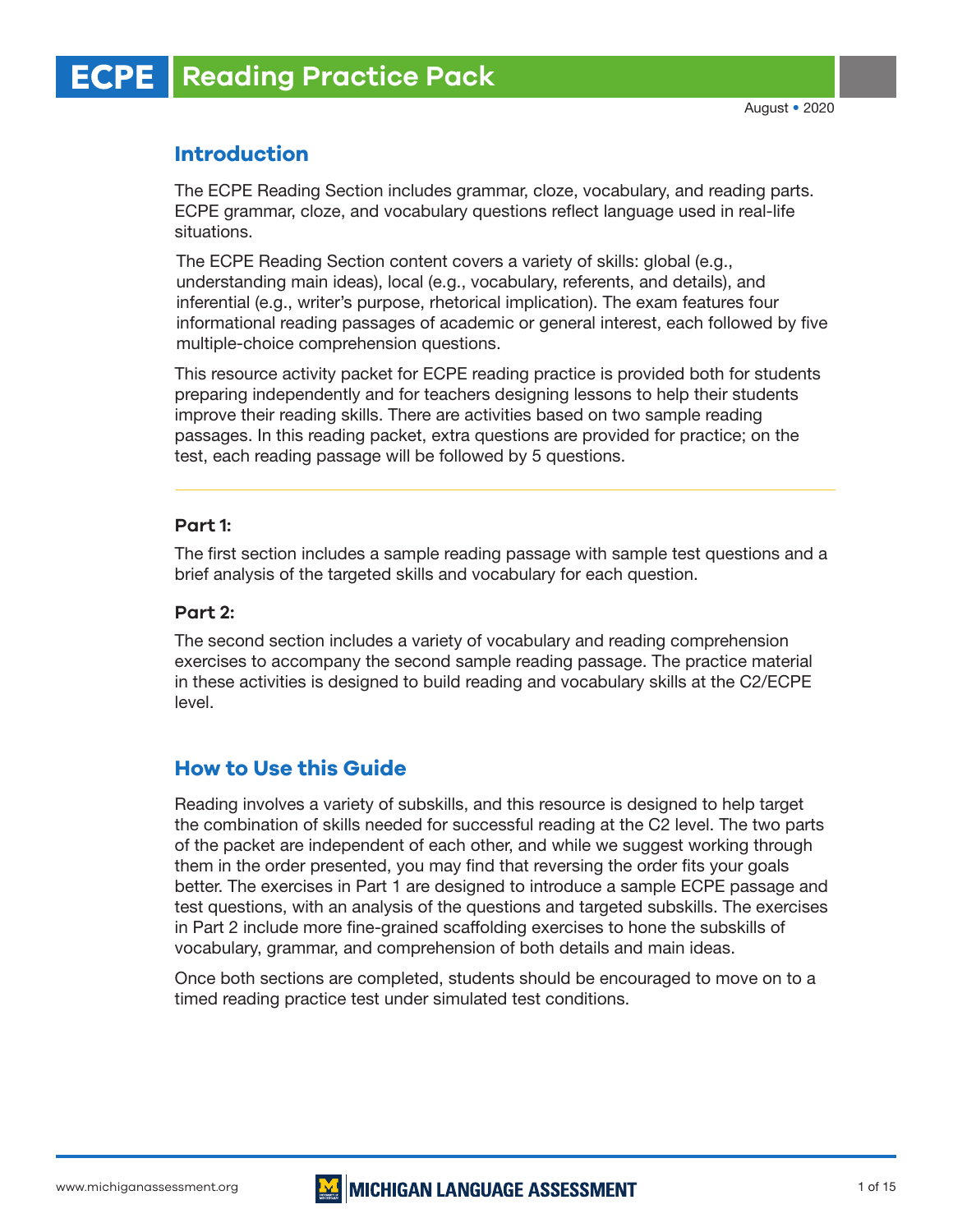# **Introduction**

The ECPE Reading Section includes grammar, cloze, vocabulary, and reading parts. ECPE grammar, cloze, and vocabulary questions reflect language used in real-life situations.

The ECPE Reading Section content covers a variety of skills: global (e.g., understanding main ideas), local (e.g., vocabulary, referents, and details), and inferential (e.g., writer's purpose, rhetorical implication). The exam features four informational reading passages of academic or general interest, each followed by five multiple-choice comprehension questions.

This resource activity packet for ECPE reading practice is provided both for students preparing independently and for teachers designing lessons to help their students improve their reading skills. There are activities based on two sample reading passages. In this reading packet, extra questions are provided for practice; on the test, each reading passage will be followed by 5 questions.

# **Part 1:**

The first section includes a sample reading passage with sample test questions and a brief analysis of the targeted skills and vocabulary for each question.

# **Part 2:**

The second section includes a variety of vocabulary and reading comprehension exercises to accompany the second sample reading passage. The practice material in these activities is designed to build reading and vocabulary skills at the C2/ECPE level.

# **How to Use this Guide**

Reading involves a variety of subskills, and this resource is designed to help target the combination of skills needed for successful reading at the C2 level. The two parts of the packet are independent of each other, and while we suggest working through them in the order presented, you may find that reversing the order fits your goals better. The exercises in Part 1 are designed to introduce a sample ECPE passage and test questions, with an analysis of the questions and targeted subskills. The exercises in Part 2 include more fine-grained scaffolding exercises to hone the subskills of vocabulary, grammar, and comprehension of both details and main ideas.

Once both sections are completed, students should be encouraged to move on to a timed reading practice test under simulated test conditions.



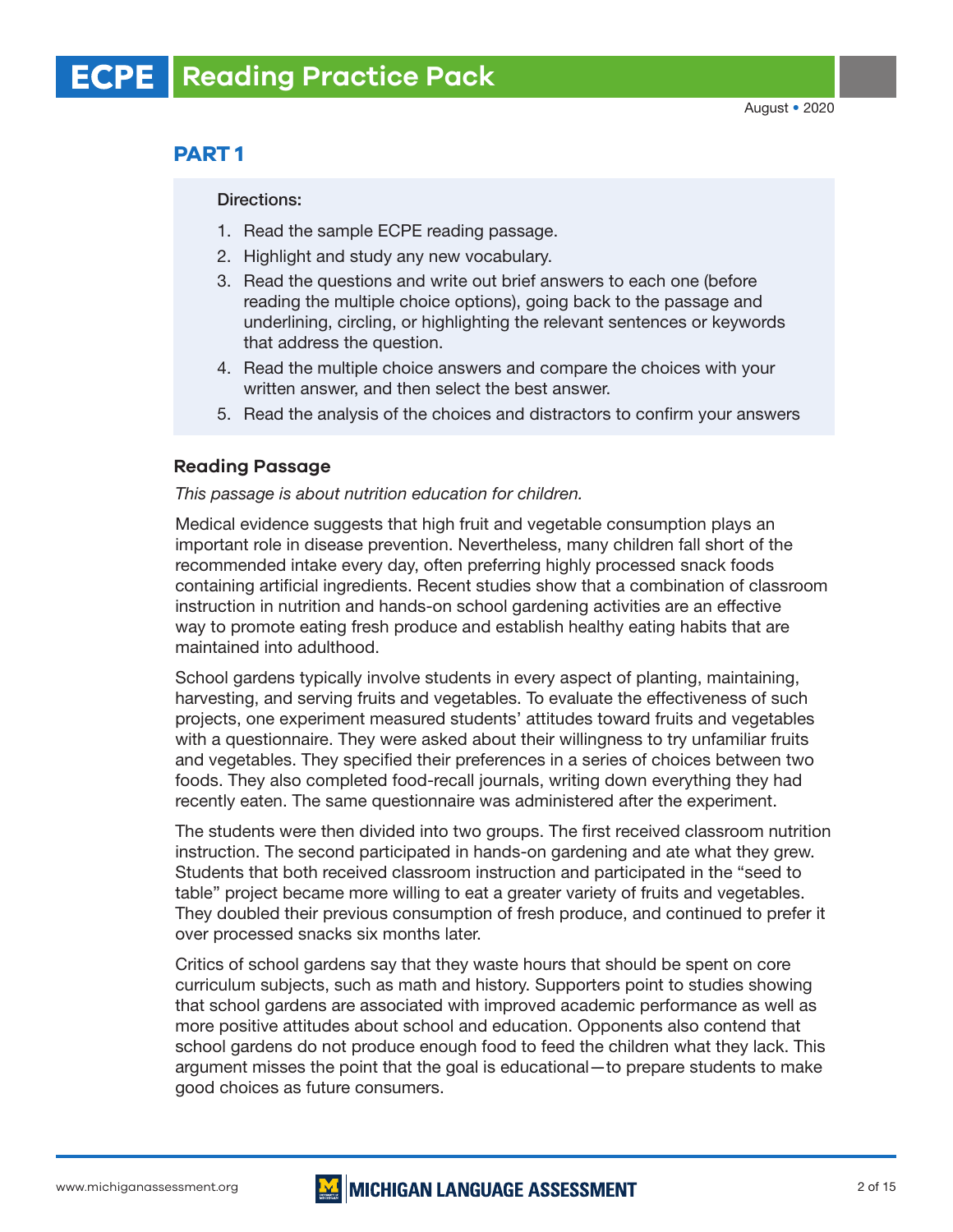# **PART 1**

#### Directions:

- 1. Read the sample ECPE reading passage.
- 2. Highlight and study any new vocabulary.
- 3. Read the questions and write out brief answers to each one (before reading the multiple choice options), going back to the passage and underlining, circling, or highlighting the relevant sentences or keywords that address the question.
- 4. Read the multiple choice answers and compare the choices with your written answer, and then select the best answer.
- 5. Read the analysis of the choices and distractors to confirm your answers

## **Reading Passage**

#### *This passage is about nutrition education for children.*

Medical evidence suggests that high fruit and vegetable consumption plays an important role in disease prevention. Nevertheless, many children fall short of the recommended intake every day, often preferring highly processed snack foods containing artificial ingredients. Recent studies show that a combination of classroom instruction in nutrition and hands-on school gardening activities are an effective way to promote eating fresh produce and establish healthy eating habits that are maintained into adulthood.

School gardens typically involve students in every aspect of planting, maintaining, harvesting, and serving fruits and vegetables. To evaluate the effectiveness of such projects, one experiment measured students' attitudes toward fruits and vegetables with a questionnaire. They were asked about their willingness to try unfamiliar fruits and vegetables. They specified their preferences in a series of choices between two foods. They also completed food-recall journals, writing down everything they had recently eaten. The same questionnaire was administered after the experiment.

The students were then divided into two groups. The first received classroom nutrition instruction. The second participated in hands-on gardening and ate what they grew. Students that both received classroom instruction and participated in the "seed to table" project became more willing to eat a greater variety of fruits and vegetables. They doubled their previous consumption of fresh produce, and continued to prefer it over processed snacks six months later.

Critics of school gardens say that they waste hours that should be spent on core curriculum subjects, such as math and history. Supporters point to studies showing that school gardens are associated with improved academic performance as well as more positive attitudes about school and education. Opponents also contend that school gardens do not produce enough food to feed the children what they lack. This argument misses the point that the goal is educational—to prepare students to make good choices as future consumers.

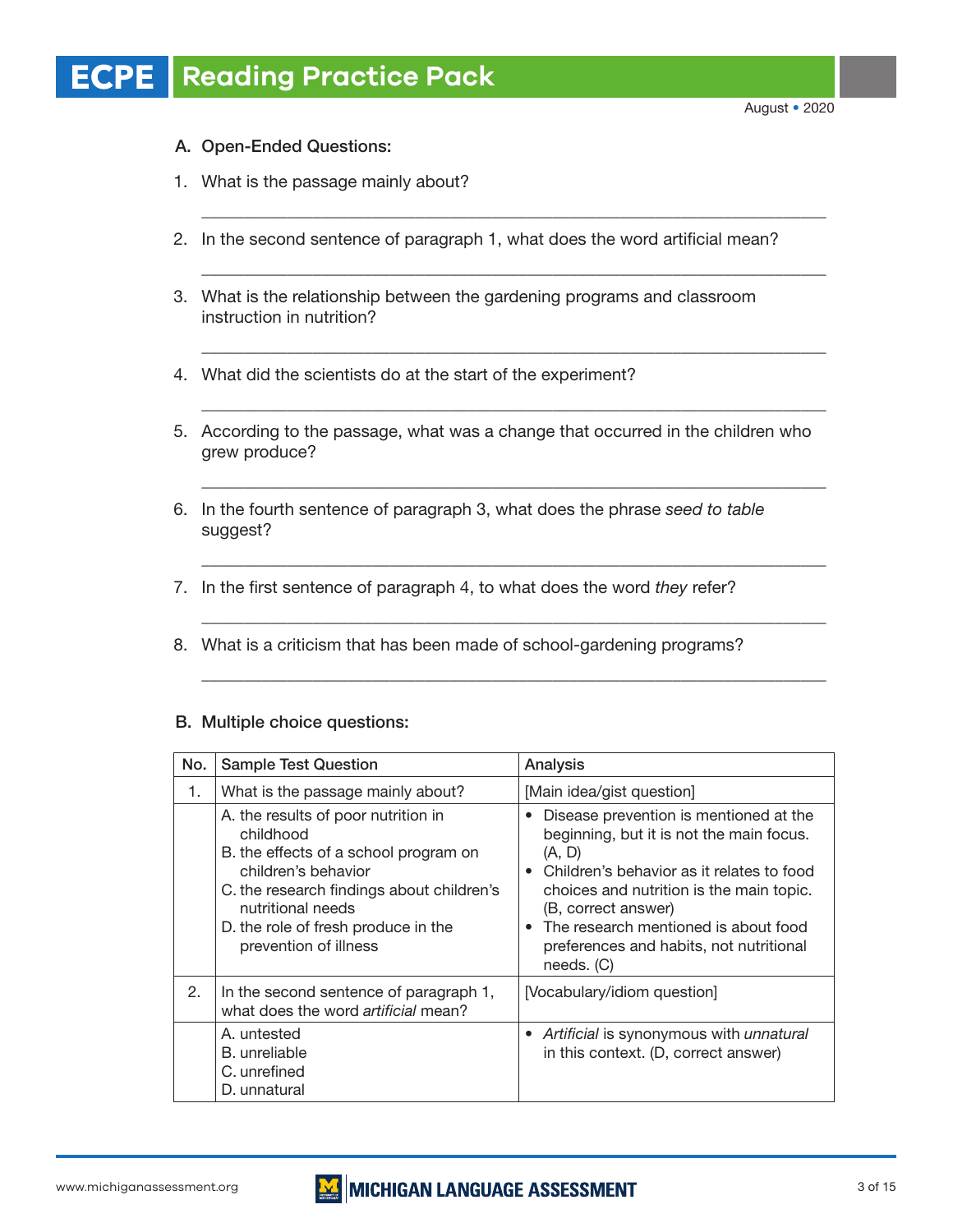# A. Open-Ended Questions:

- 1. What is the passage mainly about?
- 2. In the second sentence of paragraph 1, what does the word artificial mean?

\_\_\_\_\_\_\_\_\_\_\_\_\_\_\_\_\_\_\_\_\_\_\_\_\_\_\_\_\_\_\_\_\_\_\_\_\_\_\_\_\_\_\_\_\_\_\_\_\_\_\_\_\_\_\_\_\_\_\_\_\_\_\_\_\_\_\_\_\_\_\_\_\_

\_\_\_\_\_\_\_\_\_\_\_\_\_\_\_\_\_\_\_\_\_\_\_\_\_\_\_\_\_\_\_\_\_\_\_\_\_\_\_\_\_\_\_\_\_\_\_\_\_\_\_\_\_\_\_\_\_\_\_\_\_\_\_\_\_\_\_\_\_\_\_\_\_

\_\_\_\_\_\_\_\_\_\_\_\_\_\_\_\_\_\_\_\_\_\_\_\_\_\_\_\_\_\_\_\_\_\_\_\_\_\_\_\_\_\_\_\_\_\_\_\_\_\_\_\_\_\_\_\_\_\_\_\_\_\_\_\_\_\_\_\_\_\_\_\_\_

\_\_\_\_\_\_\_\_\_\_\_\_\_\_\_\_\_\_\_\_\_\_\_\_\_\_\_\_\_\_\_\_\_\_\_\_\_\_\_\_\_\_\_\_\_\_\_\_\_\_\_\_\_\_\_\_\_\_\_\_\_\_\_\_\_\_\_\_\_\_\_\_\_

\_\_\_\_\_\_\_\_\_\_\_\_\_\_\_\_\_\_\_\_\_\_\_\_\_\_\_\_\_\_\_\_\_\_\_\_\_\_\_\_\_\_\_\_\_\_\_\_\_\_\_\_\_\_\_\_\_\_\_\_\_\_\_\_\_\_\_\_\_\_\_\_\_

\_\_\_\_\_\_\_\_\_\_\_\_\_\_\_\_\_\_\_\_\_\_\_\_\_\_\_\_\_\_\_\_\_\_\_\_\_\_\_\_\_\_\_\_\_\_\_\_\_\_\_\_\_\_\_\_\_\_\_\_\_\_\_\_\_\_\_\_\_\_\_\_\_

\_\_\_\_\_\_\_\_\_\_\_\_\_\_\_\_\_\_\_\_\_\_\_\_\_\_\_\_\_\_\_\_\_\_\_\_\_\_\_\_\_\_\_\_\_\_\_\_\_\_\_\_\_\_\_\_\_\_\_\_\_\_\_\_\_\_\_\_\_\_\_\_\_

\_\_\_\_\_\_\_\_\_\_\_\_\_\_\_\_\_\_\_\_\_\_\_\_\_\_\_\_\_\_\_\_\_\_\_\_\_\_\_\_\_\_\_\_\_\_\_\_\_\_\_\_\_\_\_\_\_\_\_\_\_\_\_\_\_\_\_\_\_\_\_\_\_

- 3. What is the relationship between the gardening programs and classroom instruction in nutrition?
- 4. What did the scientists do at the start of the experiment?
- 5. According to the passage, what was a change that occurred in the children who grew produce?
- 6. In the fourth sentence of paragraph 3, what does the phrase *seed to table* suggest?
- 7. In the first sentence of paragraph 4, to what does the word *they* refer?
- 8. What is a criticism that has been made of school-gardening programs?

## B. Multiple choice questions:

| No. | <b>Sample Test Question</b>                                                                                                                                                                                                                        | Analysis                                                                                                                                                                                                                                                                                                                     |
|-----|----------------------------------------------------------------------------------------------------------------------------------------------------------------------------------------------------------------------------------------------------|------------------------------------------------------------------------------------------------------------------------------------------------------------------------------------------------------------------------------------------------------------------------------------------------------------------------------|
| 1.  | What is the passage mainly about?                                                                                                                                                                                                                  | [Main idea/gist question]                                                                                                                                                                                                                                                                                                    |
|     | A. the results of poor nutrition in<br>childhood<br>B. the effects of a school program on<br>children's behavior<br>C. the research findings about children's<br>nutritional needs<br>D. the role of fresh produce in the<br>prevention of illness | Disease prevention is mentioned at the<br>beginning, but it is not the main focus.<br>(A, D)<br>Children's behavior as it relates to food<br>$\bullet$<br>choices and nutrition is the main topic.<br>(B, correct answer)<br>• The research mentioned is about food<br>preferences and habits, not nutritional<br>needs. (C) |
| 2.  | In the second sentence of paragraph 1,<br>what does the word artificial mean?                                                                                                                                                                      | [Vocabulary/idiom question]                                                                                                                                                                                                                                                                                                  |
|     | A. untested<br>B. unreliable<br>C. unrefined<br>D. unnatural                                                                                                                                                                                       | • Artificial is synonymous with unnatural<br>in this context. (D, correct answer)                                                                                                                                                                                                                                            |

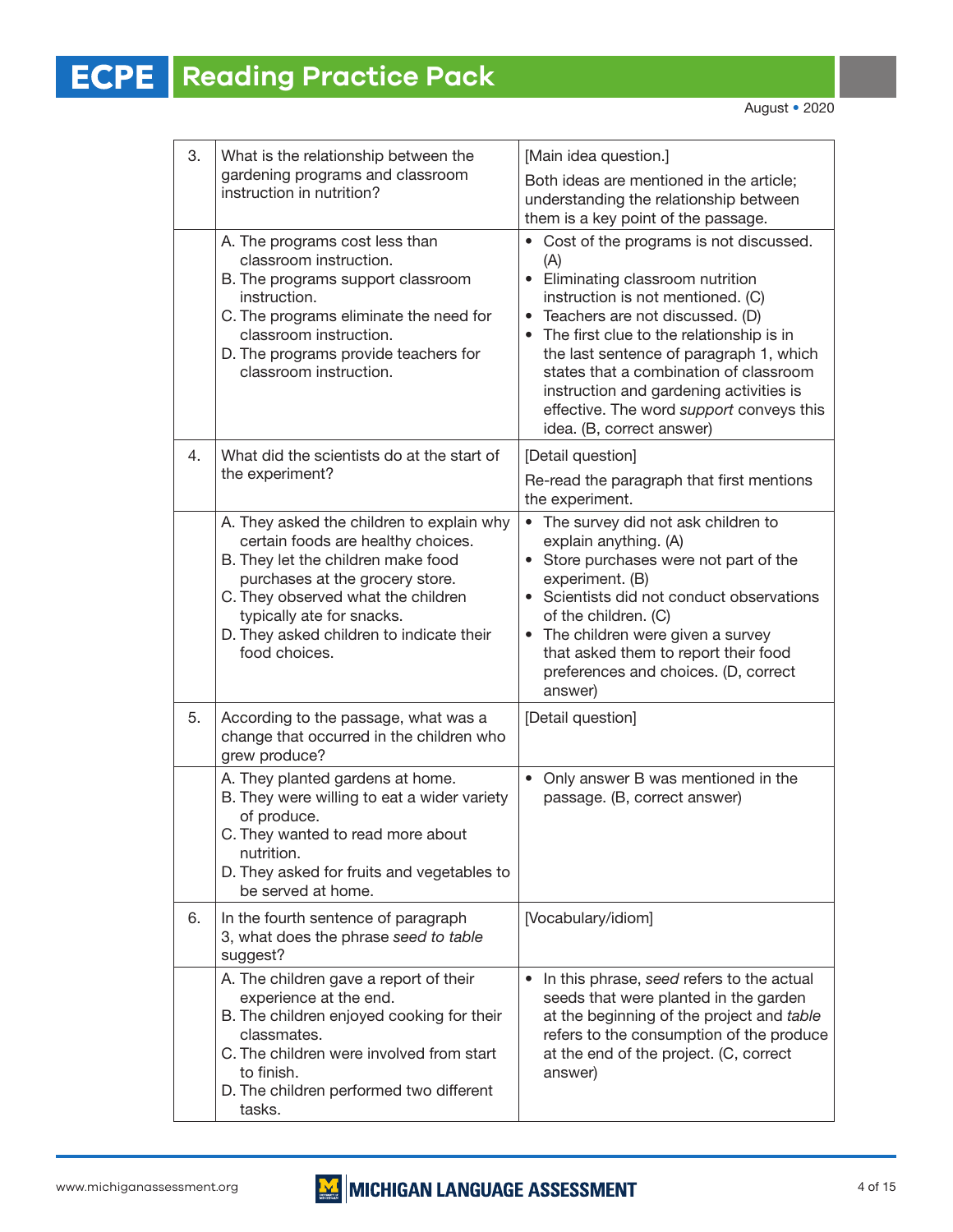| 3. | What is the relationship between the                                                                                                                                                                                                                                                     | [Main idea question.]                                                                                                                                                                                                                                                                                                                                                                                               |  |  |
|----|------------------------------------------------------------------------------------------------------------------------------------------------------------------------------------------------------------------------------------------------------------------------------------------|---------------------------------------------------------------------------------------------------------------------------------------------------------------------------------------------------------------------------------------------------------------------------------------------------------------------------------------------------------------------------------------------------------------------|--|--|
|    | gardening programs and classroom<br>instruction in nutrition?                                                                                                                                                                                                                            | Both ideas are mentioned in the article;<br>understanding the relationship between<br>them is a key point of the passage.                                                                                                                                                                                                                                                                                           |  |  |
|    | A. The programs cost less than<br>classroom instruction.<br>B. The programs support classroom<br>instruction.<br>C. The programs eliminate the need for<br>classroom instruction.<br>D. The programs provide teachers for<br>classroom instruction.                                      | • Cost of the programs is not discussed.<br>(A)<br>• Eliminating classroom nutrition<br>instruction is not mentioned. (C)<br>• Teachers are not discussed. (D)<br>The first clue to the relationship is in<br>the last sentence of paragraph 1, which<br>states that a combination of classroom<br>instruction and gardening activities is<br>effective. The word support conveys this<br>idea. (B, correct answer) |  |  |
| 4. | What did the scientists do at the start of<br>the experiment?                                                                                                                                                                                                                            | [Detail question]<br>Re-read the paragraph that first mentions<br>the experiment.                                                                                                                                                                                                                                                                                                                                   |  |  |
|    | A. They asked the children to explain why<br>certain foods are healthy choices.<br>B. They let the children make food<br>purchases at the grocery store.<br>C. They observed what the children<br>typically ate for snacks.<br>D. They asked children to indicate their<br>food choices. | • The survey did not ask children to<br>explain anything. (A)<br>• Store purchases were not part of the<br>experiment. (B)<br>• Scientists did not conduct observations<br>of the children. (C)<br>• The children were given a survey<br>that asked them to report their food<br>preferences and choices. (D, correct<br>answer)                                                                                    |  |  |
| 5. | According to the passage, what was a<br>change that occurred in the children who<br>grew produce?                                                                                                                                                                                        | [Detail question]                                                                                                                                                                                                                                                                                                                                                                                                   |  |  |
|    | A. They planted gardens at home.<br>B. They were willing to eat a wider variety<br>of produce.<br>C. They wanted to read more about<br>nutrition.<br>D. They asked for fruits and vegetables to<br>be served at home.                                                                    | Only answer B was mentioned in the<br>$\bullet$<br>passage. (B, correct answer)                                                                                                                                                                                                                                                                                                                                     |  |  |
| 6. | In the fourth sentence of paragraph<br>3, what does the phrase seed to table<br>suggest?                                                                                                                                                                                                 | [Vocabulary/idiom]                                                                                                                                                                                                                                                                                                                                                                                                  |  |  |
|    | A. The children gave a report of their<br>experience at the end.<br>B. The children enjoyed cooking for their<br>classmates.<br>C. The children were involved from start<br>to finish.<br>D. The children performed two different<br>tasks.                                              | In this phrase, seed refers to the actual<br>$\bullet$<br>seeds that were planted in the garden<br>at the beginning of the project and table<br>refers to the consumption of the produce<br>at the end of the project. (C, correct<br>answer)                                                                                                                                                                       |  |  |

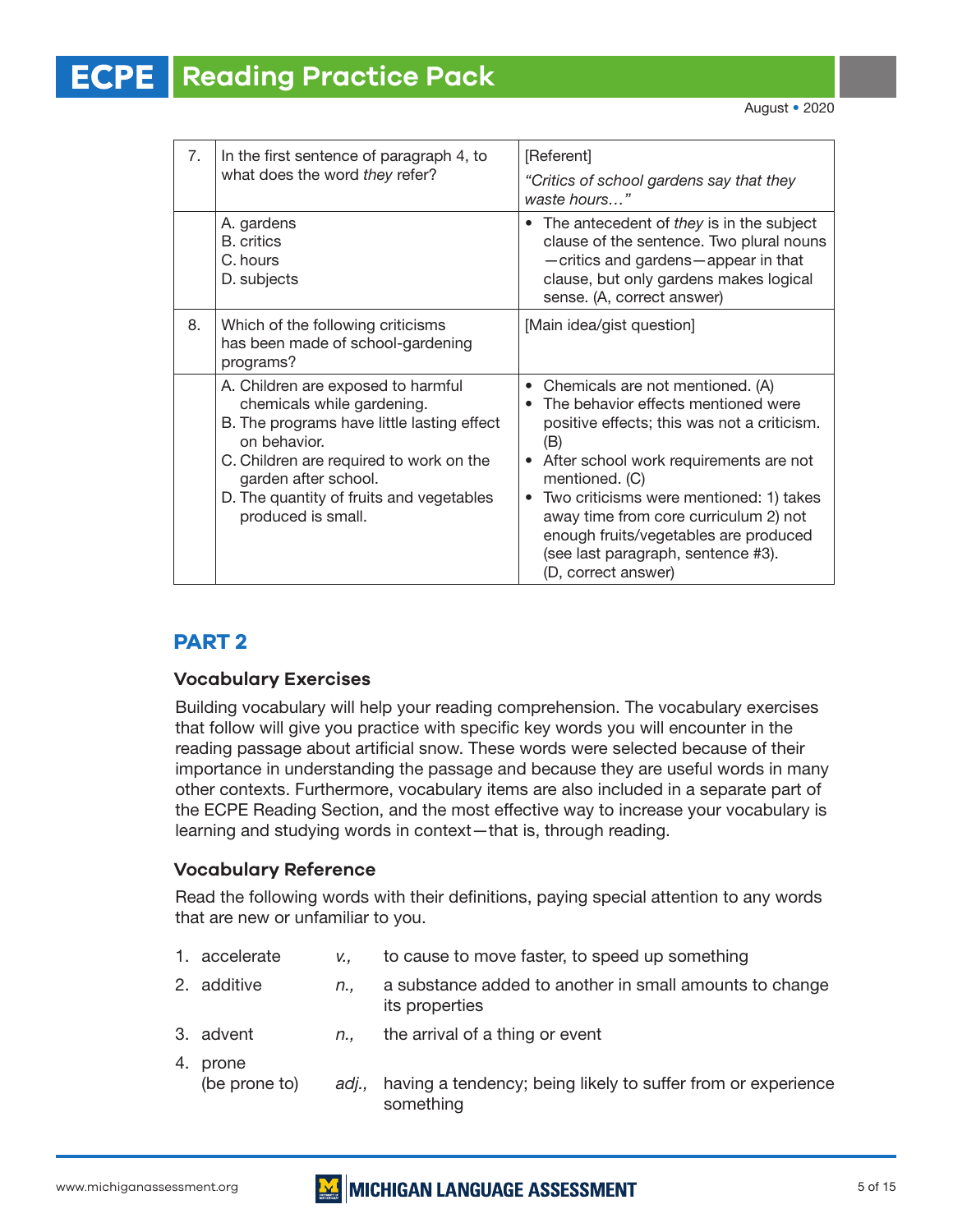#### **Reading Practice Pack ECPE**

| 7 <sub>1</sub> | In the first sentence of paragraph 4, to<br>what does the word they refer?                                                                                                                                                                                          | [Referent]<br>"Critics of school gardens say that they<br>waste hours"                                                                                                                                                                                                                                                                                                                                          |
|----------------|---------------------------------------------------------------------------------------------------------------------------------------------------------------------------------------------------------------------------------------------------------------------|-----------------------------------------------------------------------------------------------------------------------------------------------------------------------------------------------------------------------------------------------------------------------------------------------------------------------------------------------------------------------------------------------------------------|
|                | A. gardens<br><b>B.</b> critics<br>C. hours<br>D. subjects                                                                                                                                                                                                          | The antecedent of they is in the subject<br>clause of the sentence. Two plural nouns<br>-critics and gardens-appear in that<br>clause, but only gardens makes logical<br>sense. (A, correct answer)                                                                                                                                                                                                             |
| 8.             | Which of the following criticisms<br>has been made of school-gardening<br>programs?                                                                                                                                                                                 | [Main idea/gist question]                                                                                                                                                                                                                                                                                                                                                                                       |
|                | A. Children are exposed to harmful<br>chemicals while gardening.<br>B. The programs have little lasting effect<br>on behavior.<br>C. Children are required to work on the<br>garden after school.<br>D. The quantity of fruits and vegetables<br>produced is small. | • Chemicals are not mentioned. (A)<br>The behavior effects mentioned were<br>$\bullet$<br>positive effects; this was not a criticism.<br>(B)<br>After school work requirements are not<br>mentioned. (C)<br>Two criticisms were mentioned: 1) takes<br>$\bullet$<br>away time from core curriculum 2) not<br>enough fruits/vegetables are produced<br>(see last paragraph, sentence #3).<br>(D, correct answer) |

# **PART 2**

# **Vocabulary Exercises**

Building vocabulary will help your reading comprehension. The vocabulary exercises that follow will give you practice with specific key words you will encounter in the reading passage about artificial snow. These words were selected because of their importance in understanding the passage and because they are useful words in many other contexts. Furthermore, vocabulary items are also included in a separate part of the ECPE Reading Section, and the most effective way to increase your vocabulary is learning and studying words in context—that is, through reading.

# **Vocabulary Reference**

Read the following words with their definitions, paying special attention to any words that are new or unfamiliar to you.

| 1. accelerate             | V.,         | to cause to move faster, to speed up something                            |
|---------------------------|-------------|---------------------------------------------------------------------------|
| 2. additive               | n.,         | a substance added to another in small amounts to change<br>its properties |
| 3. advent                 | $n_{\cdot}$ | the arrival of a thing or event                                           |
| 4. prone<br>(be prone to) | adi         | having a tendency; being likely to suffer from or experience<br>something |

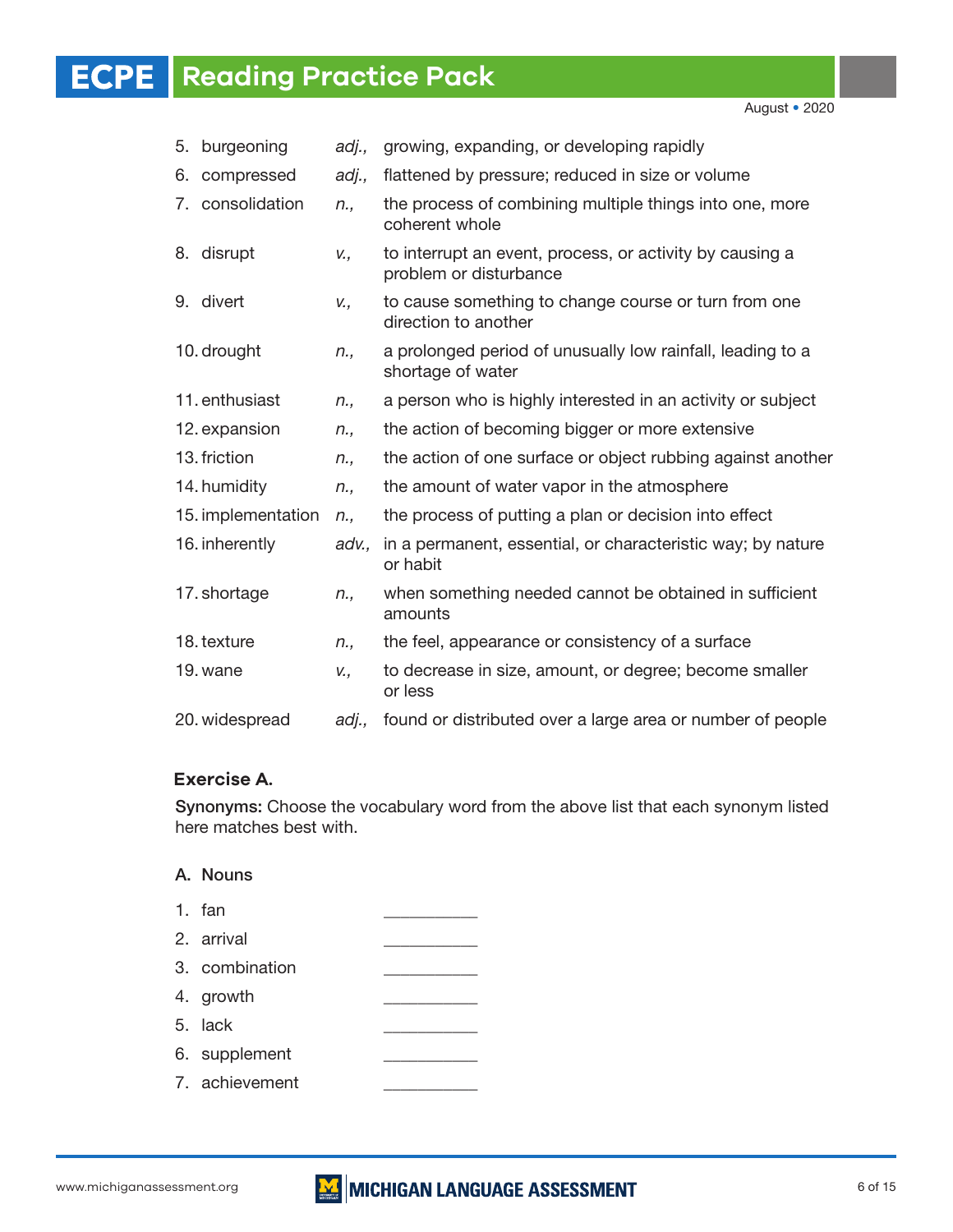August • 2020

| 5. | burgeoning         | adj., | growing, expanding, or developing rapidly                                          |
|----|--------------------|-------|------------------------------------------------------------------------------------|
| 6. | compressed         | adj., | flattened by pressure; reduced in size or volume                                   |
|    | 7. consolidation   | n.,   | the process of combining multiple things into one, more<br>coherent whole          |
|    | 8. disrupt         | v.,   | to interrupt an event, process, or activity by causing a<br>problem or disturbance |
|    | 9. divert          | v.,   | to cause something to change course or turn from one<br>direction to another       |
|    | 10. drought        | n.,   | a prolonged period of unusually low rainfall, leading to a<br>shortage of water    |
|    | 11. enthusiast     | n.,   | a person who is highly interested in an activity or subject                        |
|    | 12. expansion      | n.,   | the action of becoming bigger or more extensive                                    |
|    | 13. friction       | n.,   | the action of one surface or object rubbing against another                        |
|    | 14. humidity       | n.,   | the amount of water vapor in the atmosphere                                        |
|    | 15. implementation | n.,   | the process of putting a plan or decision into effect                              |
|    | 16. inherently     | adv., | in a permanent, essential, or characteristic way; by nature<br>or habit            |
|    | 17. shortage       | n.,   | when something needed cannot be obtained in sufficient<br>amounts                  |
|    | 18. texture        | n.,   | the feel, appearance or consistency of a surface                                   |
|    | 19. wane           | V.,   | to decrease in size, amount, or degree; become smaller<br>or less                  |
|    | 20. widespread     | adj., | found or distributed over a large area or number of people                         |

# **Exercise A.**

Synonyms: Choose the vocabulary word from the above list that each synonym listed here matches best with.

# A. Nouns

- 1.  $fan$ 2. arrival 3. combination 4. growth 5. lack 6. supplement
- 7. achievement

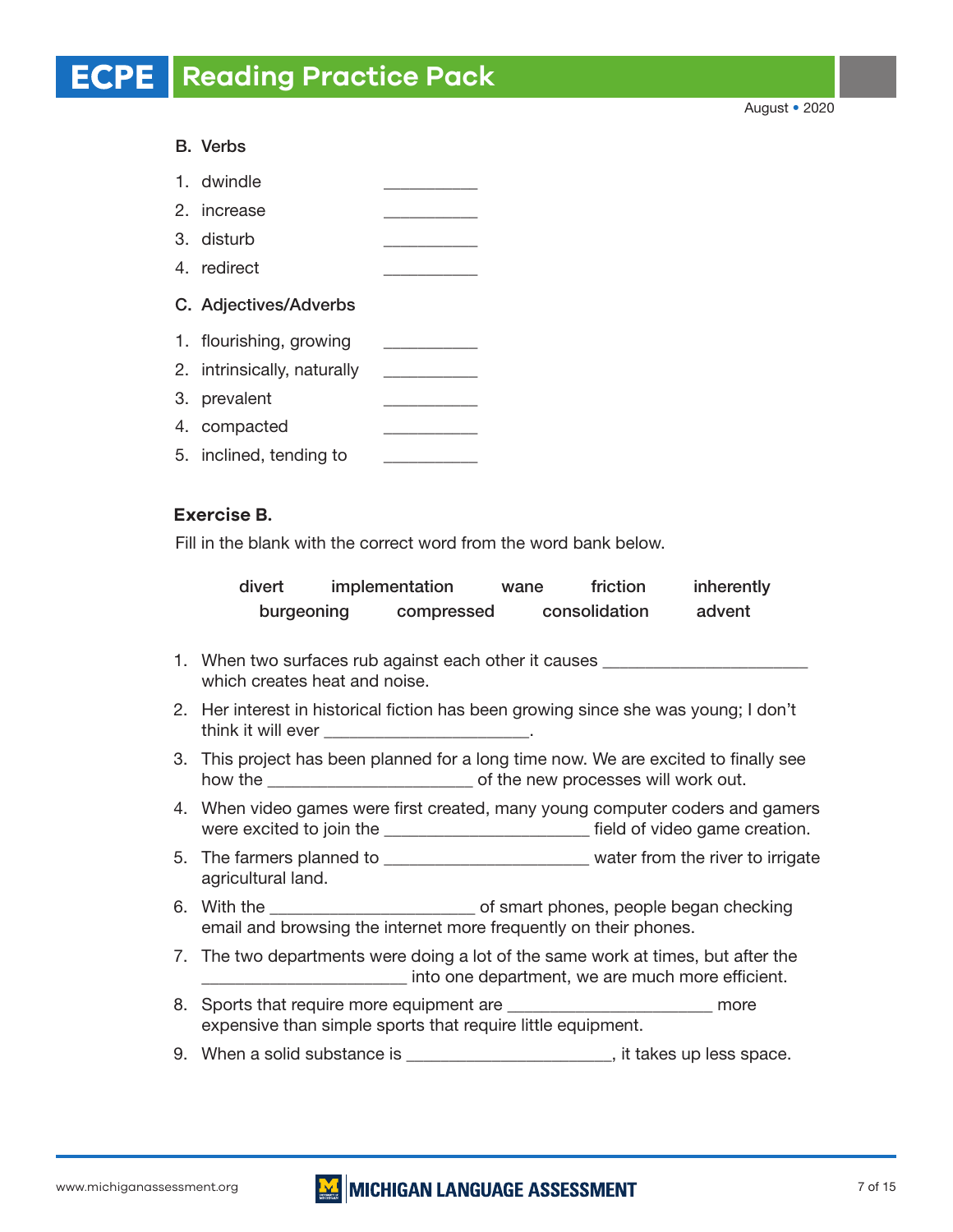August • 2020

# B. Verbs

1. dwindle 2. increase 3. disturb 4. redirect C. Adjectives/Adverbs 1. flourishing, growing \_\_\_\_\_\_\_\_\_\_\_\_ 2. intrinsically, naturally 3. prevalent 4. compacted 5. inclined, tending to

# **Exercise B.**

Fill in the blank with the correct word from the word bank below.

| divert     | implementation | wane | friction      | inherently |
|------------|----------------|------|---------------|------------|
| burgeoning | compressed     |      | consolidation | advent     |

- 1. When two surfaces rub against each other it causes which creates heat and noise.
- 2. Her interest in historical fiction has been growing since she was young; I don't think it will ever
- 3. This project has been planned for a long time now. We are excited to finally see how the \_\_\_\_\_\_\_\_\_\_\_\_\_\_\_\_\_\_\_\_\_\_\_\_ of the new processes will work out.
- 4. When video games were first created, many young computer coders and gamers were excited to join the \_\_\_\_\_\_\_\_\_\_\_\_\_\_\_\_\_\_\_\_\_\_\_\_\_\_\_\_\_\_ field of video game creation.
- 5. The farmers planned to \_\_\_\_\_\_\_\_\_\_\_\_\_\_\_\_\_\_\_\_\_\_\_\_\_\_ water from the river to irrigate agricultural land.
- 6. With the \_\_\_\_\_\_\_\_\_\_\_\_\_\_\_\_\_\_\_\_\_\_\_\_ of smart phones, people began checking email and browsing the internet more frequently on their phones.
- 7. The two departments were doing a lot of the same work at times, but after the \_\_\_\_\_\_\_\_\_\_\_\_\_\_\_\_\_\_\_\_\_\_\_\_ into one department, we are much more efficient.
- 8. Sports that require more equipment are \_\_\_\_\_\_\_\_\_\_\_\_\_\_\_\_\_\_\_\_\_\_\_\_\_\_\_\_\_ more expensive than simple sports that require little equipment.
- 9. When a solid substance is \_\_\_\_\_\_\_\_\_\_\_\_\_\_\_\_\_\_\_\_\_, it takes up less space.

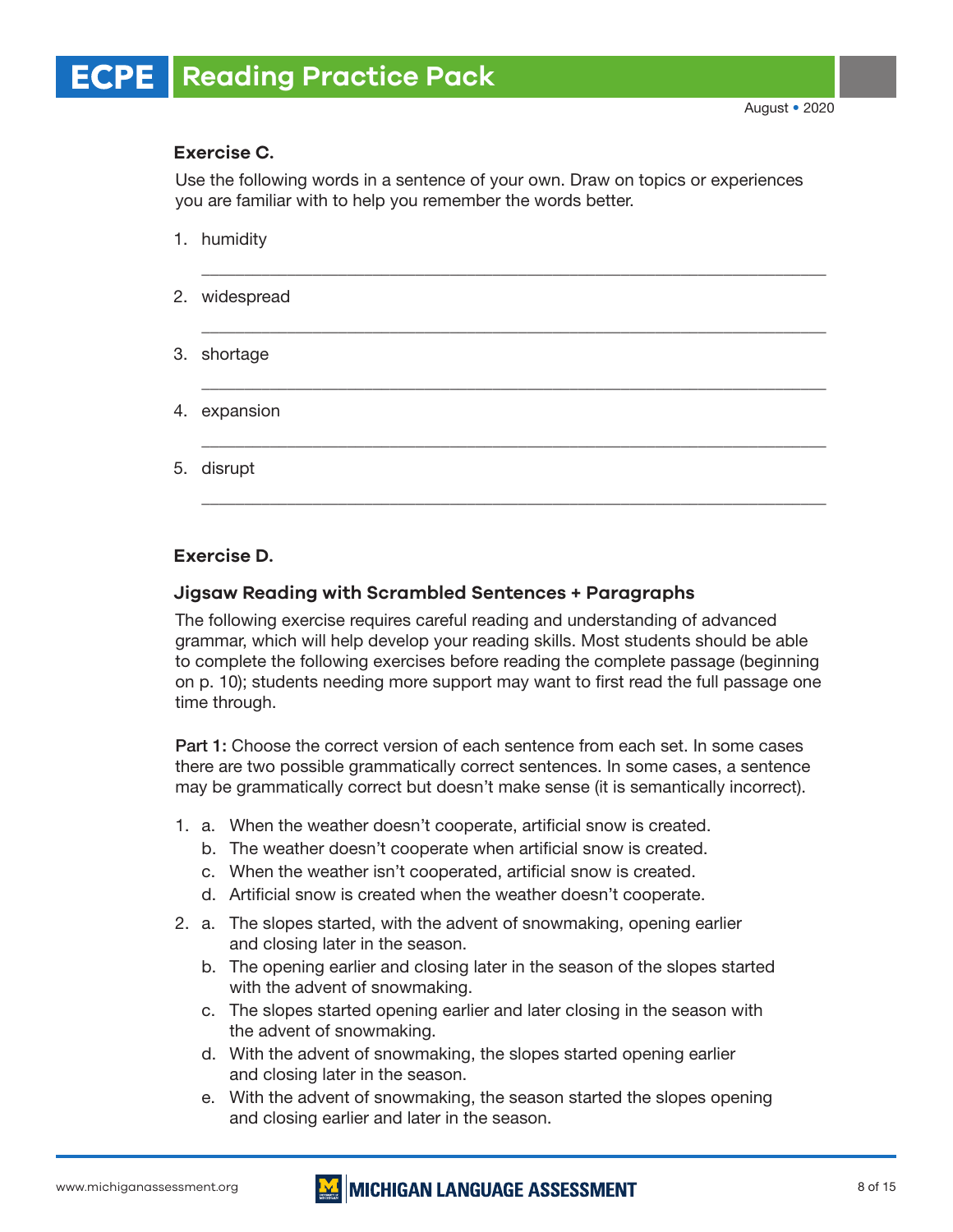# **Exercise C.**

Use the following words in a sentence of your own. Draw on topics or experiences you are familiar with to help you remember the words better.

\_\_\_\_\_\_\_\_\_\_\_\_\_\_\_\_\_\_\_\_\_\_\_\_\_\_\_\_\_\_\_\_\_\_\_\_\_\_\_\_\_\_\_\_\_\_\_\_\_\_\_\_\_\_\_\_\_\_\_\_\_\_\_\_\_\_\_\_\_\_\_\_\_

\_\_\_\_\_\_\_\_\_\_\_\_\_\_\_\_\_\_\_\_\_\_\_\_\_\_\_\_\_\_\_\_\_\_\_\_\_\_\_\_\_\_\_\_\_\_\_\_\_\_\_\_\_\_\_\_\_\_\_\_\_\_\_\_\_\_\_\_\_\_\_\_\_

\_\_\_\_\_\_\_\_\_\_\_\_\_\_\_\_\_\_\_\_\_\_\_\_\_\_\_\_\_\_\_\_\_\_\_\_\_\_\_\_\_\_\_\_\_\_\_\_\_\_\_\_\_\_\_\_\_\_\_\_\_\_\_\_\_\_\_\_\_\_\_\_\_

\_\_\_\_\_\_\_\_\_\_\_\_\_\_\_\_\_\_\_\_\_\_\_\_\_\_\_\_\_\_\_\_\_\_\_\_\_\_\_\_\_\_\_\_\_\_\_\_\_\_\_\_\_\_\_\_\_\_\_\_\_\_\_\_\_\_\_\_\_\_\_\_\_

\_\_\_\_\_\_\_\_\_\_\_\_\_\_\_\_\_\_\_\_\_\_\_\_\_\_\_\_\_\_\_\_\_\_\_\_\_\_\_\_\_\_\_\_\_\_\_\_\_\_\_\_\_\_\_\_\_\_\_\_\_\_\_\_\_\_\_\_\_\_\_\_\_

- 1. humidity
- 2. widespread
- 3. shortage
- 4. expansion
- 5. disrupt

# **Exercise D.**

# **Jigsaw Reading with Scrambled Sentences + Paragraphs**

The following exercise requires careful reading and understanding of advanced grammar, which will help develop your reading skills. Most students should be able to complete the following exercises before reading the complete passage (beginning on p. 10); students needing more support may want to first read the full passage one time through.

Part 1: Choose the correct version of each sentence from each set. In some cases there are two possible grammatically correct sentences. In some cases, a sentence may be grammatically correct but doesn't make sense (it is semantically incorrect).

- 1. a. When the weather doesn't cooperate, artificial snow is created.
	- b. The weather doesn't cooperate when artificial snow is created.
	- c. When the weather isn't cooperated, artificial snow is created.
	- d. Artificial snow is created when the weather doesn't cooperate.
- 2. a. The slopes started, with the advent of snowmaking, opening earlier and closing later in the season.
	- b. The opening earlier and closing later in the season of the slopes started with the advent of snowmaking.
	- c. The slopes started opening earlier and later closing in the season with the advent of snowmaking.
	- d. With the advent of snowmaking, the slopes started opening earlier and closing later in the season.
	- e. With the advent of snowmaking, the season started the slopes opening and closing earlier and later in the season.

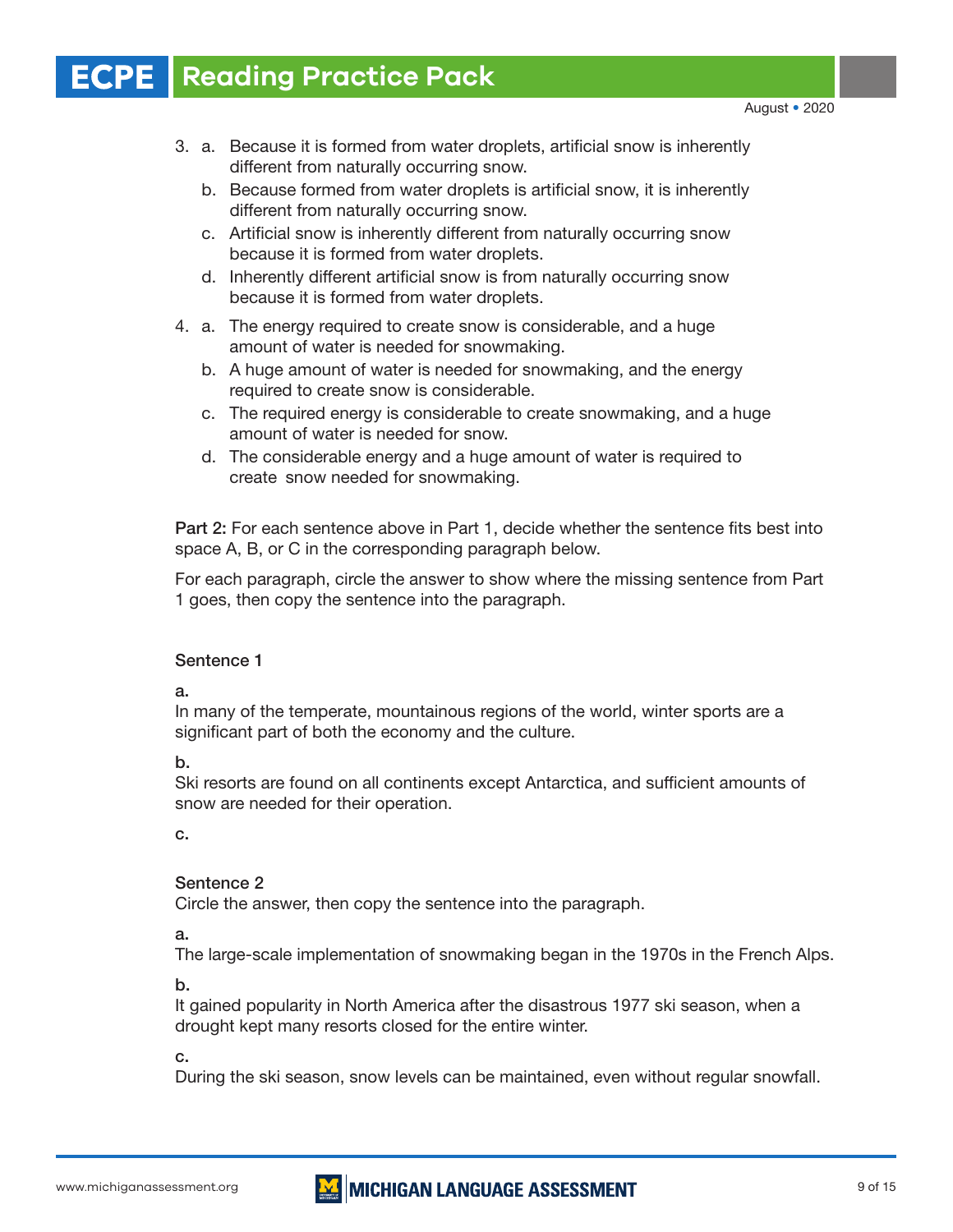- 3. a. Because it is formed from water droplets, artificial snow is inherently different from naturally occurring snow.
	- b. Because formed from water droplets is artificial snow, it is inherently different from naturally occurring snow.
	- c. Artificial snow is inherently different from naturally occurring snow because it is formed from water droplets.
	- d. Inherently different artificial snow is from naturally occurring snow because it is formed from water droplets.
- 4. a. The energy required to create snow is considerable, and a huge amount of water is needed for snowmaking.
	- b. A huge amount of water is needed for snowmaking, and the energy required to create snow is considerable.
	- c. The required energy is considerable to create snowmaking, and a huge amount of water is needed for snow.
	- d. The considerable energy and a huge amount of water is required to create snow needed for snowmaking.

Part 2: For each sentence above in Part 1, decide whether the sentence fits best into space A, B, or C in the corresponding paragraph below.

For each paragraph, circle the answer to show where the missing sentence from Part 1 goes, then copy the sentence into the paragraph.

# Sentence 1

a.

In many of the temperate, mountainous regions of the world, winter sports are a significant part of both the economy and the culture.

b.

Ski resorts are found on all continents except Antarctica, and sufficient amounts of snow are needed for their operation.

c.

# Sentence 2

Circle the answer, then copy the sentence into the paragraph.

a.

The large-scale implementation of snowmaking began in the 1970s in the French Alps.

b.

It gained popularity in North America after the disastrous 1977 ski season, when a drought kept many resorts closed for the entire winter.

c.

During the ski season, snow levels can be maintained, even without regular snowfall.

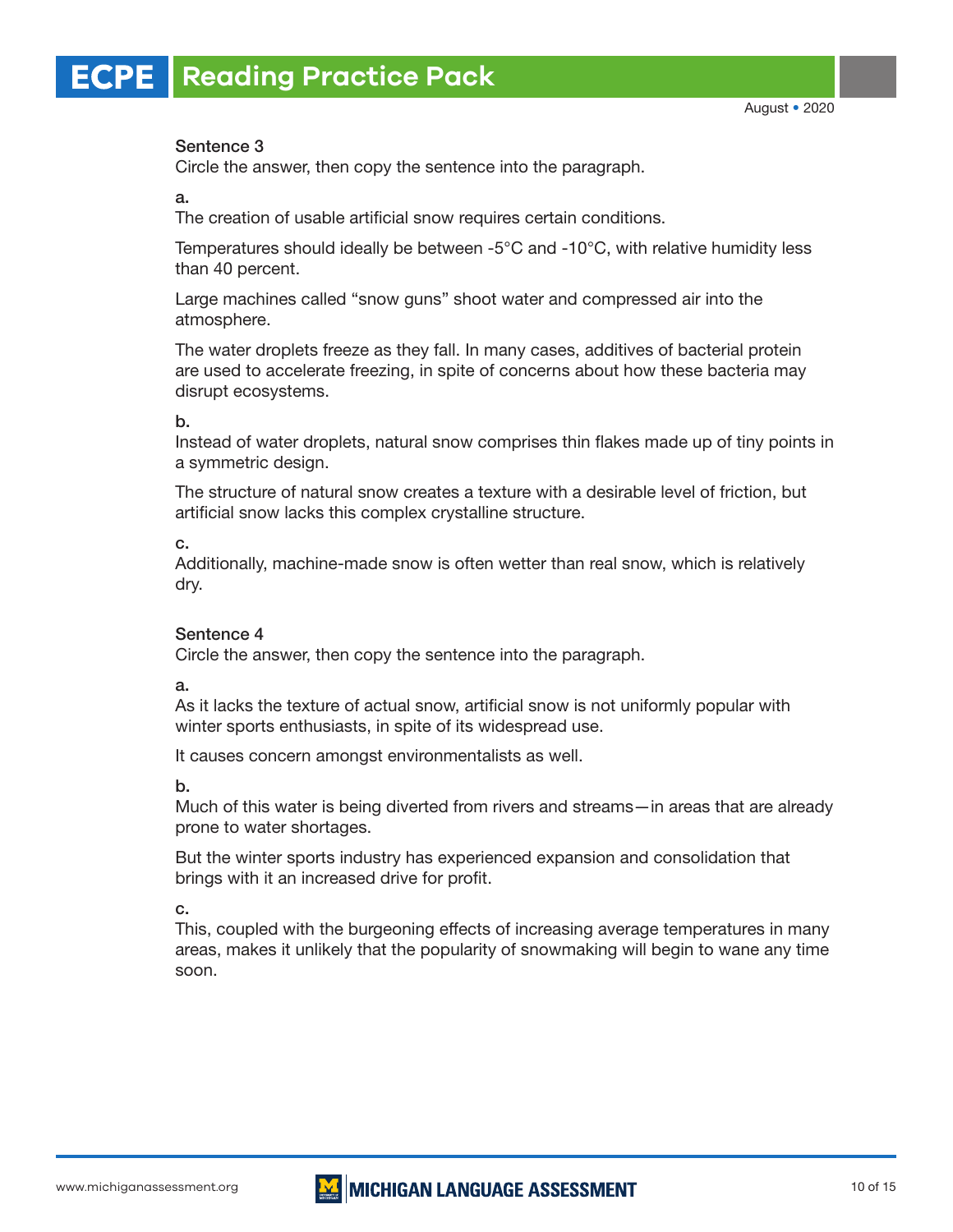# Sentence 3

Circle the answer, then copy the sentence into the paragraph.

## a.

The creation of usable artificial snow requires certain conditions.

Temperatures should ideally be between -5°C and -10°C, with relative humidity less than 40 percent.

Large machines called "snow guns" shoot water and compressed air into the atmosphere.

The water droplets freeze as they fall. In many cases, additives of bacterial protein are used to accelerate freezing, in spite of concerns about how these bacteria may disrupt ecosystems.

## b.

Instead of water droplets, natural snow comprises thin flakes made up of tiny points in a symmetric design.

The structure of natural snow creates a texture with a desirable level of friction, but artificial snow lacks this complex crystalline structure.

c.

Additionally, machine-made snow is often wetter than real snow, which is relatively dry.

## Sentence 4

Circle the answer, then copy the sentence into the paragraph.

a.

As it lacks the texture of actual snow, artificial snow is not uniformly popular with winter sports enthusiasts, in spite of its widespread use.

It causes concern amongst environmentalists as well.

b.

Much of this water is being diverted from rivers and streams—in areas that are already prone to water shortages.

But the winter sports industry has experienced expansion and consolidation that brings with it an increased drive for profit.

c.

This, coupled with the burgeoning effects of increasing average temperatures in many areas, makes it unlikely that the popularity of snowmaking will begin to wane any time soon.

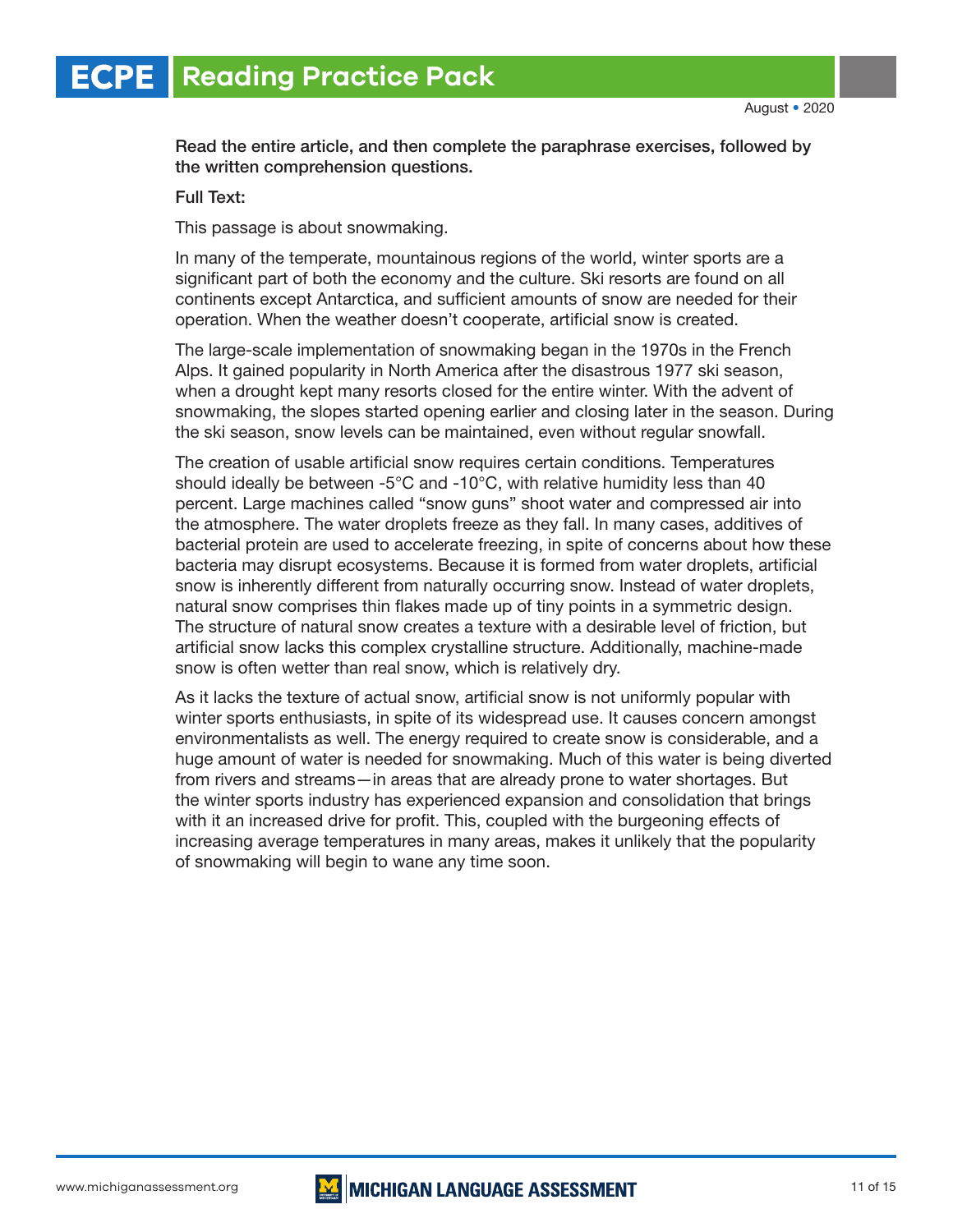Read the entire article, and then complete the paraphrase exercises, followed by the written comprehension questions.

#### Full Text:

This passage is about snowmaking.

In many of the temperate, mountainous regions of the world, winter sports are a significant part of both the economy and the culture. Ski resorts are found on all continents except Antarctica, and sufficient amounts of snow are needed for their operation. When the weather doesn't cooperate, artificial snow is created.

The large-scale implementation of snowmaking began in the 1970s in the French Alps. It gained popularity in North America after the disastrous 1977 ski season, when a drought kept many resorts closed for the entire winter. With the advent of snowmaking, the slopes started opening earlier and closing later in the season. During the ski season, snow levels can be maintained, even without regular snowfall.

The creation of usable artificial snow requires certain conditions. Temperatures should ideally be between -5°C and -10°C, with relative humidity less than 40 percent. Large machines called "snow guns" shoot water and compressed air into the atmosphere. The water droplets freeze as they fall. In many cases, additives of bacterial protein are used to accelerate freezing, in spite of concerns about how these bacteria may disrupt ecosystems. Because it is formed from water droplets, artificial snow is inherently different from naturally occurring snow. Instead of water droplets, natural snow comprises thin flakes made up of tiny points in a symmetric design. The structure of natural snow creates a texture with a desirable level of friction, but artificial snow lacks this complex crystalline structure. Additionally, machine-made snow is often wetter than real snow, which is relatively dry.

As it lacks the texture of actual snow, artificial snow is not uniformly popular with winter sports enthusiasts, in spite of its widespread use. It causes concern amongst environmentalists as well. The energy required to create snow is considerable, and a huge amount of water is needed for snowmaking. Much of this water is being diverted from rivers and streams—in areas that are already prone to water shortages. But the winter sports industry has experienced expansion and consolidation that brings with it an increased drive for profit. This, coupled with the burgeoning effects of increasing average temperatures in many areas, makes it unlikely that the popularity of snowmaking will begin to wane any time soon.

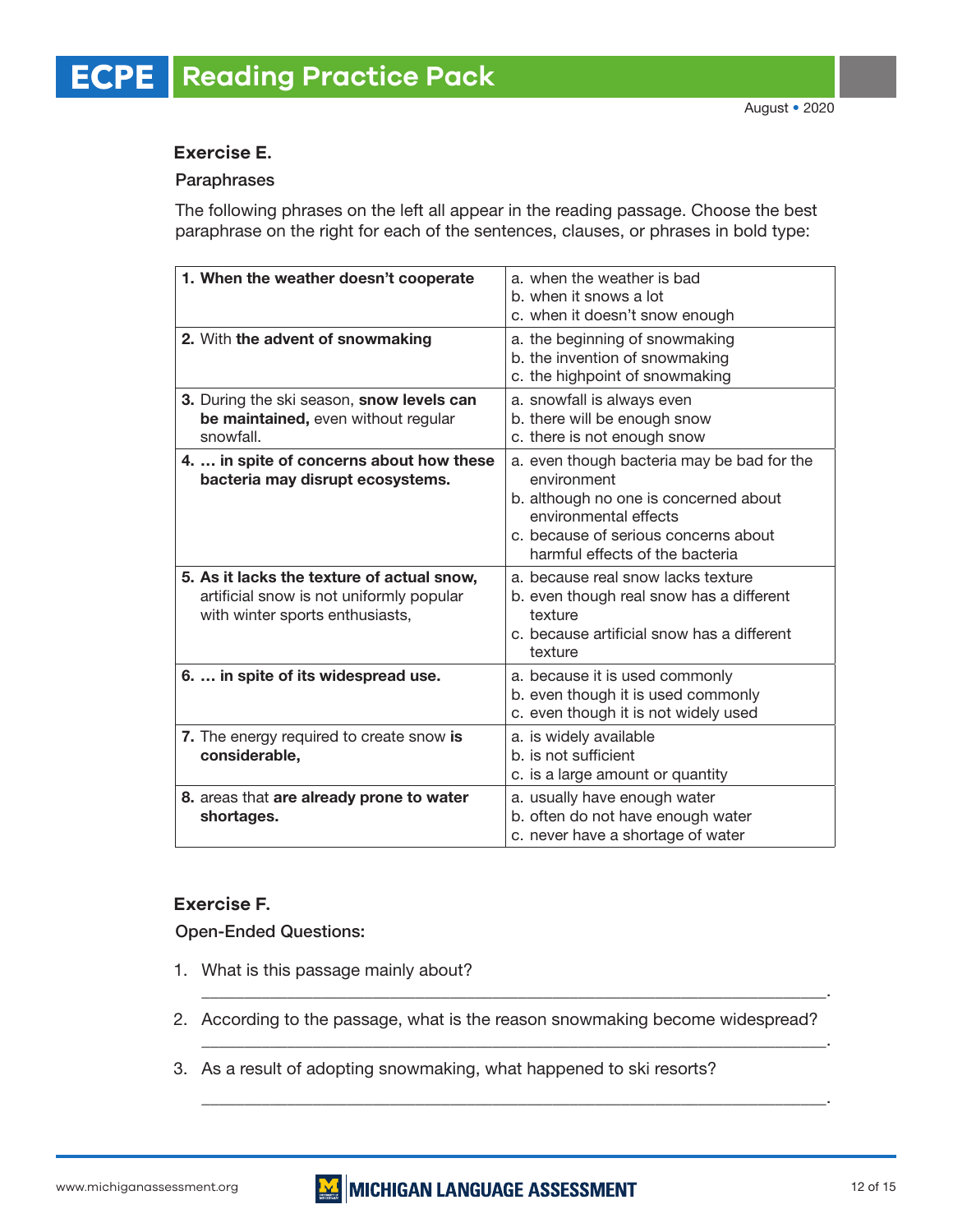# **Exercise E.**

# Paraphrases

The following phrases on the left all appear in the reading passage. Choose the best paraphrase on the right for each of the sentences, clauses, or phrases in bold type:

| 1. When the weather doesn't cooperate                                                                                     | a. when the weather is bad<br>b. when it snows a lot<br>c. when it doesn't snow enough                                                                                                                 |
|---------------------------------------------------------------------------------------------------------------------------|--------------------------------------------------------------------------------------------------------------------------------------------------------------------------------------------------------|
| 2. With the advent of snowmaking                                                                                          | a. the beginning of snowmaking<br>b. the invention of snowmaking<br>c. the highpoint of snowmaking                                                                                                     |
| 3. During the ski season, snow levels can<br>be maintained, even without regular<br>snowfall.                             | a. snowfall is always even<br>b. there will be enough snow<br>c. there is not enough snow                                                                                                              |
| 4.  in spite of concerns about how these<br>bacteria may disrupt ecosystems.                                              | a. even though bacteria may be bad for the<br>environment<br>b. although no one is concerned about<br>environmental effects<br>c. because of serious concerns about<br>harmful effects of the bacteria |
| 5. As it lacks the texture of actual snow,<br>artificial snow is not uniformly popular<br>with winter sports enthusiasts, | a. because real snow lacks texture<br>b. even though real snow has a different<br>texture<br>c. because artificial snow has a different<br>texture                                                     |
| 6.  in spite of its widespread use.                                                                                       | a. because it is used commonly<br>b. even though it is used commonly<br>c. even though it is not widely used                                                                                           |
| 7. The energy required to create snow is<br>considerable,                                                                 | a. is widely available<br>b. is not sufficient<br>c. is a large amount or quantity                                                                                                                     |
| 8. areas that are already prone to water<br>shortages.                                                                    | a. usually have enough water<br>b. often do not have enough water<br>c. never have a shortage of water                                                                                                 |

# **Exercise F.**

Open-Ended Questions:

- 1. What is this passage mainly about?
- 2. According to the passage, what is the reason snowmaking become widespread?

\_\_\_\_\_\_\_\_\_\_\_\_\_\_\_\_\_\_\_\_\_\_\_\_\_\_\_\_\_\_\_\_\_\_\_\_\_\_\_\_\_\_\_\_\_\_\_\_\_\_\_\_\_\_\_\_\_\_\_\_\_\_\_\_\_\_\_\_\_\_\_\_\_.

\_\_\_\_\_\_\_\_\_\_\_\_\_\_\_\_\_\_\_\_\_\_\_\_\_\_\_\_\_\_\_\_\_\_\_\_\_\_\_\_\_\_\_\_\_\_\_\_\_\_\_\_\_\_\_\_\_\_\_\_\_\_\_\_\_\_\_\_\_\_\_\_\_.

\_\_\_\_\_\_\_\_\_\_\_\_\_\_\_\_\_\_\_\_\_\_\_\_\_\_\_\_\_\_\_\_\_\_\_\_\_\_\_\_\_\_\_\_\_\_\_\_\_\_\_\_\_\_\_\_\_\_\_\_\_\_\_\_\_\_\_\_\_\_\_\_\_.

3. As a result of adopting snowmaking, what happened to ski resorts?

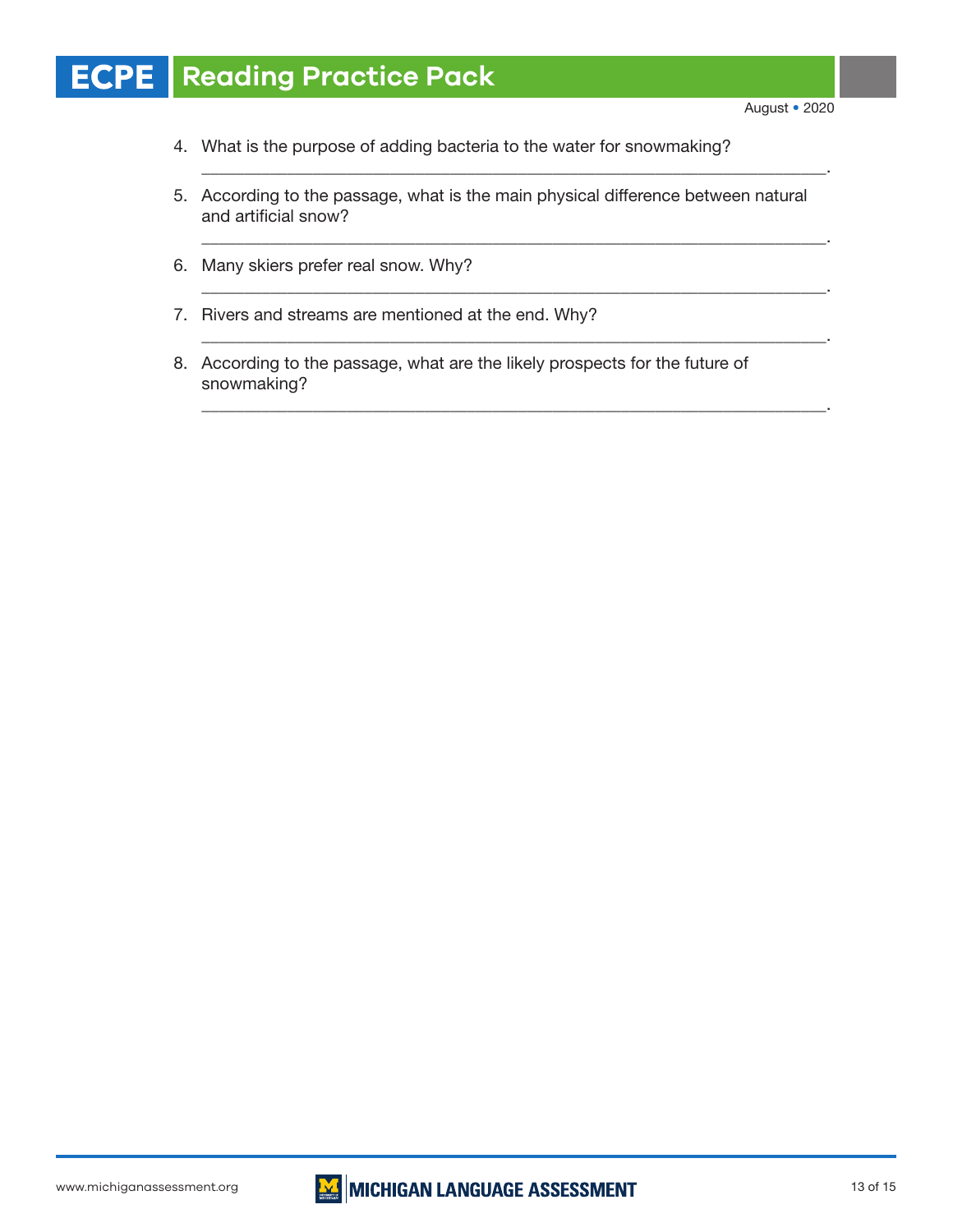#### **Reading Practice Pack ECPE**

- 4. What is the purpose of adding bacteria to the water for snowmaking?
- 5. According to the passage, what is the main physical difference between natural and artificial snow?

\_\_\_\_\_\_\_\_\_\_\_\_\_\_\_\_\_\_\_\_\_\_\_\_\_\_\_\_\_\_\_\_\_\_\_\_\_\_\_\_\_\_\_\_\_\_\_\_\_\_\_\_\_\_\_\_\_\_\_\_\_\_\_\_\_\_\_\_\_\_\_\_\_.

\_\_\_\_\_\_\_\_\_\_\_\_\_\_\_\_\_\_\_\_\_\_\_\_\_\_\_\_\_\_\_\_\_\_\_\_\_\_\_\_\_\_\_\_\_\_\_\_\_\_\_\_\_\_\_\_\_\_\_\_\_\_\_\_\_\_\_\_\_\_\_\_\_.

\_\_\_\_\_\_\_\_\_\_\_\_\_\_\_\_\_\_\_\_\_\_\_\_\_\_\_\_\_\_\_\_\_\_\_\_\_\_\_\_\_\_\_\_\_\_\_\_\_\_\_\_\_\_\_\_\_\_\_\_\_\_\_\_\_\_\_\_\_\_\_\_\_.

\_\_\_\_\_\_\_\_\_\_\_\_\_\_\_\_\_\_\_\_\_\_\_\_\_\_\_\_\_\_\_\_\_\_\_\_\_\_\_\_\_\_\_\_\_\_\_\_\_\_\_\_\_\_\_\_\_\_\_\_\_\_\_\_\_\_\_\_\_\_\_\_\_.

\_\_\_\_\_\_\_\_\_\_\_\_\_\_\_\_\_\_\_\_\_\_\_\_\_\_\_\_\_\_\_\_\_\_\_\_\_\_\_\_\_\_\_\_\_\_\_\_\_\_\_\_\_\_\_\_\_\_\_\_\_\_\_\_\_\_\_\_\_\_\_\_\_.

- 6. Many skiers prefer real snow. Why?
- 7. Rivers and streams are mentioned at the end. Why?
- 8. According to the passage, what are the likely prospects for the future of snowmaking?

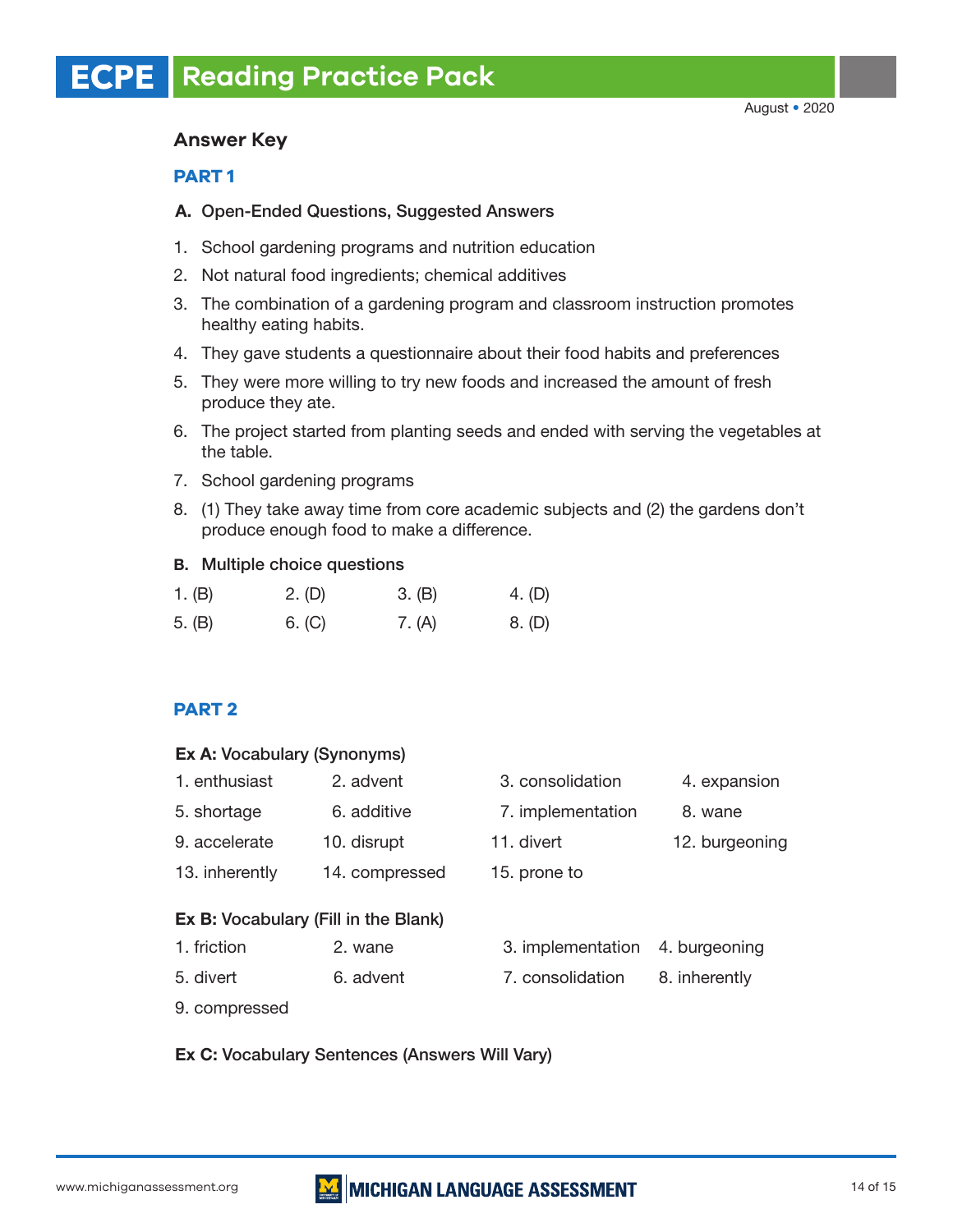# **Answer Key**

# **PART 1**

# A. Open-Ended Questions, Suggested Answers

- 1. School gardening programs and nutrition education
- 2. Not natural food ingredients; chemical additives
- 3. The combination of a gardening program and classroom instruction promotes healthy eating habits.
- 4. They gave students a questionnaire about their food habits and preferences
- 5. They were more willing to try new foods and increased the amount of fresh produce they ate.
- 6. The project started from planting seeds and ended with serving the vegetables at the table.
- 7. School gardening programs
- 8. (1) They take away time from core academic subjects and (2) the gardens don't produce enough food to make a difference.

# B. Multiple choice questions

| 1. $(B)$ | 2. (D) | 3. (B) | 4. (D) |
|----------|--------|--------|--------|
| 5. (B)   | 6. (C) | 7. (A) | 8. (D) |

# **PART 2**

## Ex A: Vocabulary (Synonyms)

| 1. enthusiast                                       | 2. advent      | 3. consolidation  | 4. expansion   |
|-----------------------------------------------------|----------------|-------------------|----------------|
| 5. shortage                                         | 6. additive    | 7. implementation | 8. wane        |
| 9. accelerate                                       | 10. disrupt    | 11. divert        | 12. burgeoning |
| 13. inherently                                      | 14. compressed | 15. prone to      |                |
| Ex B: Vocabulary (Fill in the Blank)<br>1. friction | 2. wane        | 3. implementation | 4. burgeoning  |

- 5. divert 6. advent 7. consolidation 8. inherently
- 9. compressed
- Ex C: Vocabulary Sentences (Answers Will Vary)